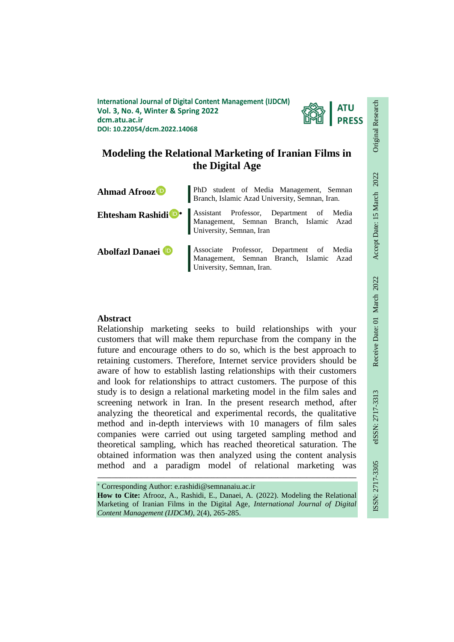**International Journal of Digital Content Management (IJDCM) Vol. 3, No. 4, Winter & Spring 2022 dcm.atu.ac.ir DOI: 10.22054/dcm.2022.14068**



# **Modeling the Relational Marketing of Iranian Films in the Digital Age**

| <b>Ahmad Afrooz</b> <sup>D</sup> | PhD student of Media Management, Semnan Branch, Islamic Azad University, Semnan, Iran.                           |  |  |
|----------------------------------|------------------------------------------------------------------------------------------------------------------|--|--|
| Ehtesham Rashidi <sup>n</sup> *  | Assistant Professor, Department of Media<br>Management, Semnan Branch, Islamic Azad<br>University, Semnan, Iran  |  |  |
| Abolfazl Danaei D                | Associate Professor, Department of Media<br>Management, Semnan Branch, Islamic Azad<br>University, Semnan, Iran. |  |  |

## **Abstract**

Relationship marketing seeks to build relationships with your customers that will make them repurchase from the company in the future and encourage others to do so, which is the best approach to retaining customers. Therefore, Internet service providers should be aware of how to establish lasting relationships with their customers and look for relationships to attract customers. The purpose of this study is to design a relational marketing model in the film sales and screening network in Iran. In the present research method, after analyzing the theoretical and experimental records, the qualitative method and in-depth interviews with 10 managers of film sales companies were carried out using targeted sampling method and theoretical sampling, which has reached theoretical saturation. The obtained information was then analyzed using the content analysis method and a paradigm model of relational marketing was

 Corresponding Author: e.rashidi@semnanaiu.ac.ir **How to Cite:** Afrooz, A., Rashidi, E., Danaei, A. (2022). Modeling the Relational Marketing of Iranian Films in the Digital Age, *International Journal of Digital Content Management (IJDCM)*, 2(4), 265-285.

ـــــــــــــــــــــــــــــــــــــــــــــــــــــــــــــــــــــــــــــــــــــــــــــــــــــــــــــــــــــــــــــ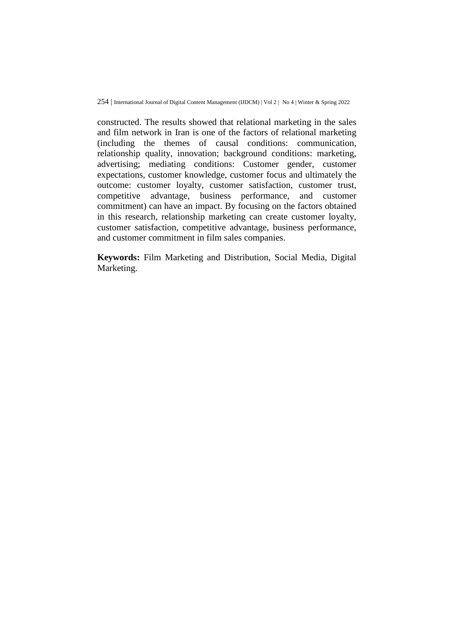constructed. The results showed that relational marketing in the sales and film network in Iran is one of the factors of relational marketing (including the themes of causal conditions: communication, relationship quality, innovation; background conditions: marketing, advertising; mediating conditions: Customer gender, customer expectations, customer knowledge, customer focus and ultimately the outcome: customer loyalty, customer satisfaction, customer trust, competitive advantage, business performance, and customer commitment) can have an impact. By focusing on the factors obtained in this research, relationship marketing can create customer loyalty, customer satisfaction, competitive advantage, business performance, and customer commitment in film sales companies.

**Keywords:** Film Marketing and Distribution, Social Media, Digital Marketing.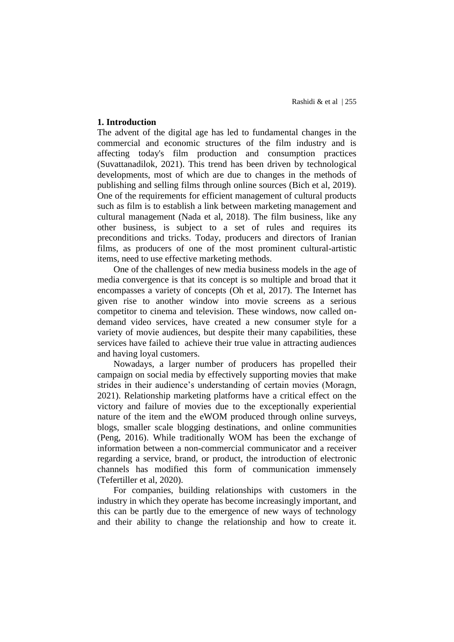## **1. Introduction**

The advent of the digital age has led to fundamental changes in the commercial and economic structures of the film industry and is affecting today's film production and consumption practices (Suvattanadilok, 2021). This trend has been driven by technological developments, most of which are due to changes in the methods of publishing and selling films through online sources (Bich et al, 2019). One of the requirements for efficient management of cultural products such as film is to establish a link between marketing management and cultural management (Nada et al, 2018). The film business, like any other business, is subject to a set of rules and requires its preconditions and tricks. Today, producers and directors of Iranian films, as producers of one of the most prominent cultural-artistic items, need to use effective marketing methods.

One of the challenges of new media business models in the age of media convergence is that its concept is so multiple and broad that it encompasses a variety of concepts (Oh et al, 2017). The Internet has given rise to another window into movie screens as a serious competitor to cinema and television. These windows, now called ondemand video services, have created a new consumer style for a variety of movie audiences, but despite their many capabilities, these services have failed to achieve their true value in attracting audiences and having loyal customers.

Nowadays, a larger number of producers has propelled their campaign on social media by effectively supporting movies that make strides in their audience's understanding of certain movies (Moragn, 2021). Relationship marketing platforms have a critical effect on the victory and failure of movies due to the exceptionally experiential nature of the item and the eWOM produced through online surveys, blogs, smaller scale blogging destinations, and online communities (Peng, 2016). While traditionally WOM has been the exchange of information between a non-commercial communicator and a receiver regarding a service, brand, or product, the introduction of electronic channels has modified this form of communication immensely (Tefertiller et al, 2020).

For companies, building relationships with customers in the industry in which they operate has become increasingly important, and this can be partly due to the emergence of new ways of technology and their ability to change the relationship and how to create it.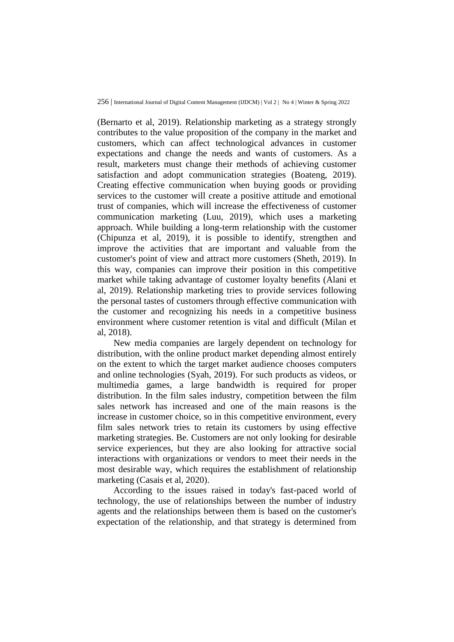(Bernarto et al, 2019). Relationship marketing as a strategy strongly contributes to the value proposition of the company in the market and customers, which can affect technological advances in customer expectations and change the needs and wants of customers. As a result, marketers must change their methods of achieving customer satisfaction and adopt communication strategies (Boateng, 2019). Creating effective communication when buying goods or providing services to the customer will create a positive attitude and emotional trust of companies, which will increase the effectiveness of customer communication marketing (Luu, 2019), which uses a marketing approach. While building a long-term relationship with the customer (Chipunza et al, 2019), it is possible to identify, strengthen and improve the activities that are important and valuable from the customer's point of view and attract more customers (Sheth, 2019). In this way, companies can improve their position in this competitive market while taking advantage of customer loyalty benefits (Alani et al, 2019). Relationship marketing tries to provide services following the personal tastes of customers through effective communication with the customer and recognizing his needs in a competitive business environment where customer retention is vital and difficult (Milan et al, 2018).

New media companies are largely dependent on technology for distribution, with the online product market depending almost entirely on the extent to which the target market audience chooses computers and online technologies (Syah, 2019). For such products as videos, or multimedia games, a large bandwidth is required for proper distribution. In the film sales industry, competition between the film sales network has increased and one of the main reasons is the increase in customer choice, so in this competitive environment, every film sales network tries to retain its customers by using effective marketing strategies. Be. Customers are not only looking for desirable service experiences, but they are also looking for attractive social interactions with organizations or vendors to meet their needs in the most desirable way, which requires the establishment of relationship marketing (Casais et al, 2020).

According to the issues raised in today's fast-paced world of technology, the use of relationships between the number of industry agents and the relationships between them is based on the customer's expectation of the relationship, and that strategy is determined from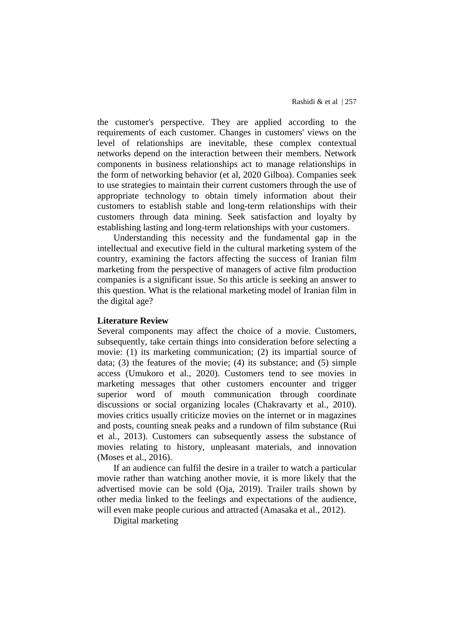the customer's perspective. They are applied according to the requirements of each customer. Changes in customers' views on the level of relationships are inevitable, these complex contextual networks depend on the interaction between their members. Network components in business relationships act to manage relationships in the form of networking behavior (et al, 2020 Gilboa). Companies seek to use strategies to maintain their current customers through the use of appropriate technology to obtain timely information about their customers to establish stable and long-term relationships with their customers through data mining. Seek satisfaction and loyalty by establishing lasting and long-term relationships with your customers.

Understanding this necessity and the fundamental gap in the intellectual and executive field in the cultural marketing system of the country, examining the factors affecting the success of Iranian film marketing from the perspective of managers of active film production companies is a significant issue. So this article is seeking an answer to this question. What is the relational marketing model of Iranian film in the digital age?

### **Literature Review**

Several components may affect the choice of a movie. Customers, subsequently, take certain things into consideration before selecting a movie: (1) its marketing communication; (2) its impartial source of data; (3) the features of the movie; (4) its substance; and (5) simple access (Umukoro et al., 2020). Customers tend to see movies in marketing messages that other customers encounter and trigger superior word of mouth communication through coordinate discussions or social organizing locales (Chakravarty et al., 2010). movies critics usually criticize movies on the internet or in magazines and posts, counting sneak peaks and a rundown of film substance (Rui et al., 2013). Customers can subsequently assess the substance of movies relating to history, unpleasant materials, and innovation (Moses et al., 2016).

If an audience can fulfil the desire in a trailer to watch a particular movie rather than watching another movie, it is more likely that the advertised movie can be sold (Oja, 2019). Trailer trails shown by other media linked to the feelings and expectations of the audience, will even make people curious and attracted (Amasaka et al., 2012).

Digital marketing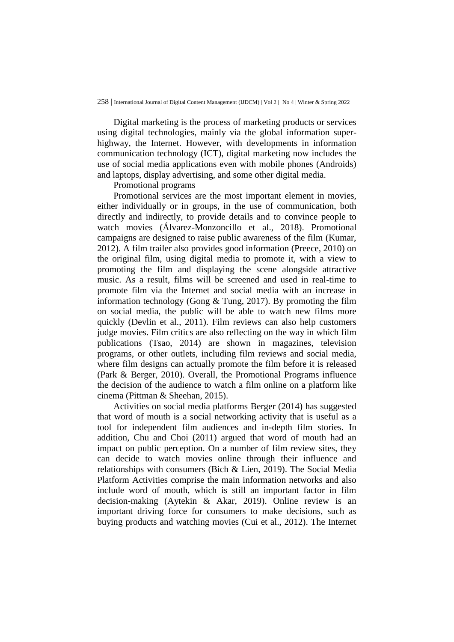Digital marketing is the process of marketing products or services using digital technologies, mainly via the global information superhighway, the Internet. However, with developments in information communication technology (ICT), digital marketing now includes the use of social media applications even with mobile phones (Androids) and laptops, display advertising, and some other digital media.

Promotional programs

Promotional services are the most important element in movies, either individually or in groups, in the use of communication, both directly and indirectly, to provide details and to convince people to watch movies (Álvarez-Monzoncillo et al., 2018). Promotional campaigns are designed to raise public awareness of the film (Kumar, 2012). A film trailer also provides good information (Preece, 2010) on the original film, using digital media to promote it, with a view to promoting the film and displaying the scene alongside attractive music. As a result, films will be screened and used in real-time to promote film via the Internet and social media with an increase in information technology (Gong & Tung, 2017). By promoting the film on social media, the public will be able to watch new films more quickly (Devlin et al., 2011). Film reviews can also help customers judge movies. Film critics are also reflecting on the way in which film publications (Tsao, 2014) are shown in magazines, television programs, or other outlets, including film reviews and social media, where film designs can actually promote the film before it is released (Park & Berger, 2010). Overall, the Promotional Programs influence the decision of the audience to watch a film online on a platform like cinema (Pittman & Sheehan, 2015).

Activities on social media platforms Berger (2014) has suggested that word of mouth is a social networking activity that is useful as a tool for independent film audiences and in-depth film stories. In addition, Chu and Choi (2011) argued that word of mouth had an impact on public perception. On a number of film review sites, they can decide to watch movies online through their influence and relationships with consumers (Bich & Lien, 2019). The Social Media Platform Activities comprise the main information networks and also include word of mouth, which is still an important factor in film decision-making (Aytekin & Akar, 2019). Online review is an important driving force for consumers to make decisions, such as buying products and watching movies (Cui et al., 2012). The Internet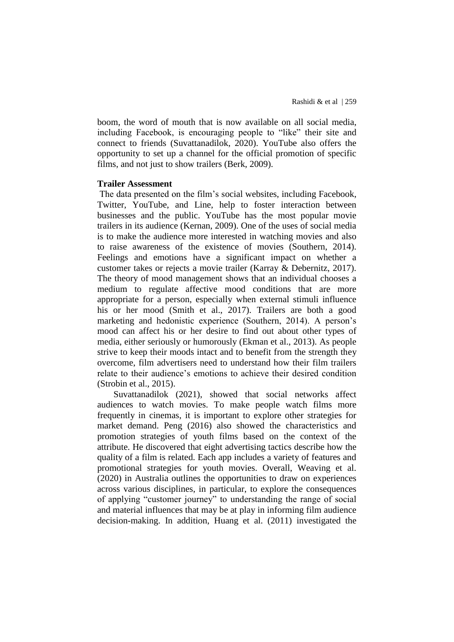boom, the word of mouth that is now available on all social media, including Facebook, is encouraging people to "like" their site and connect to friends (Suvattanadilok, 2020). YouTube also offers the opportunity to set up a channel for the official promotion of specific films, and not just to show trailers (Berk, 2009).

#### **Trailer Assessment**

The data presented on the film's social websites, including Facebook, Twitter, YouTube, and Line, help to foster interaction between businesses and the public. YouTube has the most popular movie trailers in its audience (Kernan, 2009). One of the uses of social media is to make the audience more interested in watching movies and also to raise awareness of the existence of movies (Southern, 2014). Feelings and emotions have a significant impact on whether a customer takes or rejects a movie trailer (Karray & Debernitz, 2017). The theory of mood management shows that an individual chooses a medium to regulate affective mood conditions that are more appropriate for a person, especially when external stimuli influence his or her mood (Smith et al., 2017). Trailers are both a good marketing and hedonistic experience (Southern, 2014). A person's mood can affect his or her desire to find out about other types of media, either seriously or humorously (Ekman et al., 2013). As people strive to keep their moods intact and to benefit from the strength they overcome, film advertisers need to understand how their film trailers relate to their audience's emotions to achieve their desired condition (Strobin et al., 2015).

Suvattanadilok (2021), showed that social networks affect audiences to watch movies. To make people watch films more frequently in cinemas, it is important to explore other strategies for market demand. Peng (2016) also showed the characteristics and promotion strategies of youth films based on the context of the attribute. He discovered that eight advertising tactics describe how the quality of a film is related. Each app includes a variety of features and promotional strategies for youth movies. Overall, Weaving et al. (2020) in Australia outlines the opportunities to draw on experiences across various disciplines, in particular, to explore the consequences of applying "customer journey" to understanding the range of social and material influences that may be at play in informing film audience decision-making. In addition, Huang et al. (2011) investigated the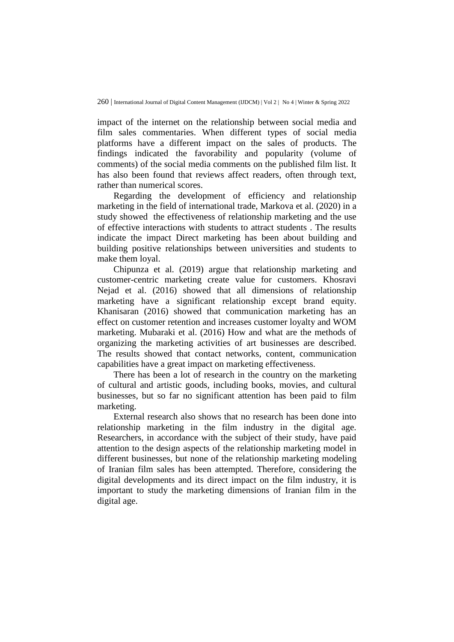impact of the internet on the relationship between social media and film sales commentaries. When different types of social media platforms have a different impact on the sales of products. The findings indicated the favorability and popularity (volume of comments) of the social media comments on the published film list. It has also been found that reviews affect readers, often through text, rather than numerical scores.

Regarding the development of efficiency and relationship marketing in the field of international trade, Markova et al. (2020) in a study showed the effectiveness of relationship marketing and the use of effective interactions with students to attract students . The results indicate the impact Direct marketing has been about building and building positive relationships between universities and students to make them loyal.

Chipunza et al. (2019) argue that relationship marketing and customer-centric marketing create value for customers. Khosravi Nejad et al. (2016) showed that all dimensions of relationship marketing have a significant relationship except brand equity. Khanisaran (2016) showed that communication marketing has an effect on customer retention and increases customer loyalty and WOM marketing. Mubaraki et al. (2016) How and what are the methods of organizing the marketing activities of art businesses are described. The results showed that contact networks, content, communication capabilities have a great impact on marketing effectiveness.

There has been a lot of research in the country on the marketing of cultural and artistic goods, including books, movies, and cultural businesses, but so far no significant attention has been paid to film marketing.

External research also shows that no research has been done into relationship marketing in the film industry in the digital age. Researchers, in accordance with the subject of their study, have paid attention to the design aspects of the relationship marketing model in different businesses, but none of the relationship marketing modeling of Iranian film sales has been attempted. Therefore, considering the digital developments and its direct impact on the film industry, it is important to study the marketing dimensions of Iranian film in the digital age.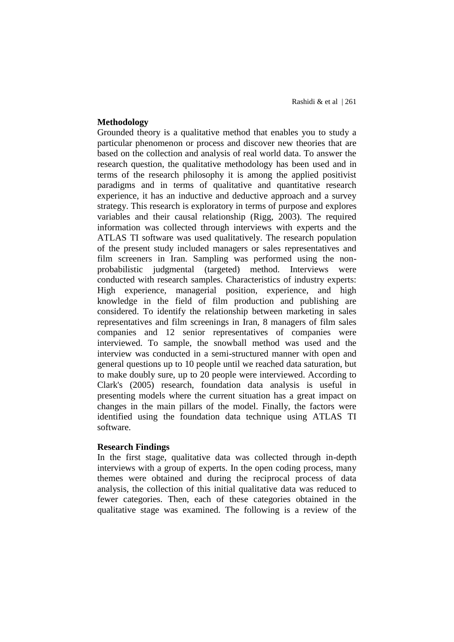## **Methodology**

Grounded theory is a qualitative method that enables you to study a particular phenomenon or process and discover new theories that are based on the collection and analysis of real world data. To answer the research question, the qualitative methodology has been used and in terms of the research philosophy it is among the applied positivist paradigms and in terms of qualitative and quantitative research experience, it has an inductive and deductive approach and a survey strategy. This research is exploratory in terms of purpose and explores variables and their causal relationship (Rigg, 2003). The required information was collected through interviews with experts and the ATLAS TI software was used qualitatively. The research population of the present study included managers or sales representatives and film screeners in Iran. Sampling was performed using the nonprobabilistic judgmental (targeted) method. Interviews were conducted with research samples. Characteristics of industry experts: High experience, managerial position, experience, and high knowledge in the field of film production and publishing are considered. To identify the relationship between marketing in sales representatives and film screenings in Iran, 8 managers of film sales companies and 12 senior representatives of companies were interviewed. To sample, the snowball method was used and the interview was conducted in a semi-structured manner with open and general questions up to 10 people until we reached data saturation, but to make doubly sure, up to 20 people were interviewed. According to Clark's (2005) research, foundation data analysis is useful in presenting models where the current situation has a great impact on changes in the main pillars of the model. Finally, the factors were identified using the foundation data technique using ATLAS TI software.

#### **Research Findings**

In the first stage, qualitative data was collected through in-depth interviews with a group of experts. In the open coding process, many themes were obtained and during the reciprocal process of data analysis, the collection of this initial qualitative data was reduced to fewer categories. Then, each of these categories obtained in the qualitative stage was examined. The following is a review of the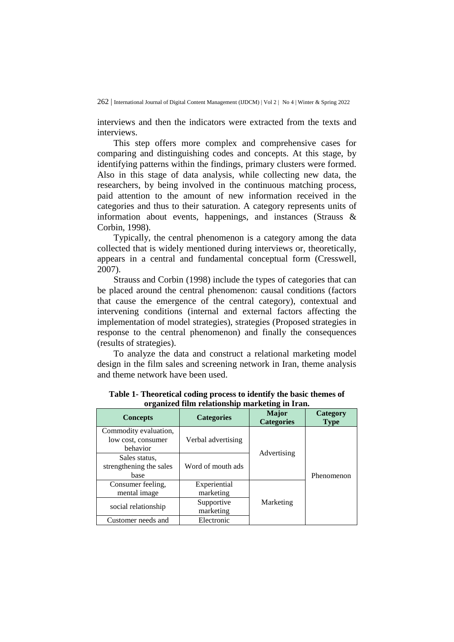interviews and then the indicators were extracted from the texts and interviews.

This step offers more complex and comprehensive cases for comparing and distinguishing codes and concepts. At this stage, by identifying patterns within the findings, primary clusters were formed. Also in this stage of data analysis, while collecting new data, the researchers, by being involved in the continuous matching process, paid attention to the amount of new information received in the categories and thus to their saturation. A category represents units of information about events, happenings, and instances (Strauss & Corbin, 1998).

Typically, the central phenomenon is a category among the data collected that is widely mentioned during interviews or, theoretically, appears in a central and fundamental conceptual form (Cresswell, 2007).

Strauss and Corbin (1998) include the types of categories that can be placed around the central phenomenon: causal conditions (factors that cause the emergence of the central category), contextual and intervening conditions (internal and external factors affecting the implementation of model strategies), strategies (Proposed strategies in response to the central phenomenon) and finally the consequences (results of strategies).

To analyze the data and construct a relational marketing model design in the film sales and screening network in Iran, theme analysis and theme network have been used.

| огданияся пиш генанопятр пнагксипд пг п ап.             |                           |                                   |                         |  |  |
|---------------------------------------------------------|---------------------------|-----------------------------------|-------------------------|--|--|
| <b>Concepts</b>                                         | <b>Categories</b>         | <b>Major</b><br><b>Categories</b> | Category<br><b>Type</b> |  |  |
| Commodity evaluation,<br>low cost, consumer<br>behavior | Verbal advertising        | Advertising                       | Phenomenon              |  |  |
| Sales status.<br>strengthening the sales<br>base        | Word of mouth ads         |                                   |                         |  |  |
| Consumer feeling,<br>mental image                       | Experiential<br>marketing | Marketing                         |                         |  |  |
| social relationship                                     | Supportive<br>marketing   |                                   |                         |  |  |
| Customer needs and                                      | Electronic                |                                   |                         |  |  |

**Table 1- Theoretical coding process to identify the basic themes of organized film relationship marketing in Iran.**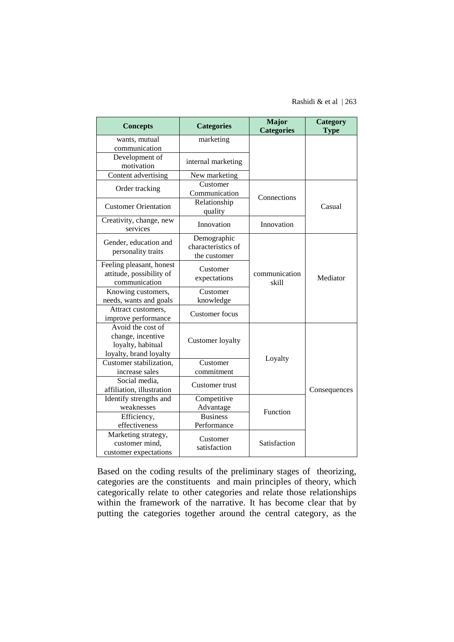Rashidi & et al | 263

| <b>Concepts</b>                                                                       | <b>Categories</b>                                 | <b>Major</b><br><b>Categories</b> | Category<br><b>Type</b> |
|---------------------------------------------------------------------------------------|---------------------------------------------------|-----------------------------------|-------------------------|
| wants, mutual<br>communication                                                        | marketing                                         |                                   |                         |
| Development of<br>motivation                                                          | internal marketing                                |                                   |                         |
| Content advertising                                                                   | New marketing                                     |                                   |                         |
| Order tracking                                                                        | Customer<br>Communication                         | Connections                       | Casual                  |
| <b>Customer Orientation</b>                                                           | Relationship<br>quality                           |                                   |                         |
| Creativity, change, new<br>services                                                   | Innovation                                        | Innovation                        |                         |
| Gender, education and<br>personality traits                                           | Demographic<br>characteristics of<br>the customer |                                   |                         |
| Feeling pleasant, honest<br>attitude, possibility of<br>communication                 | Customer<br>expectations                          | communication<br>skill            | Mediator                |
| Knowing customers,<br>needs, wants and goals                                          | Customer<br>knowledge                             |                                   |                         |
| Attract customers,<br>improve performance                                             | <b>Customer</b> focus                             |                                   |                         |
| Avoid the cost of<br>change, incentive<br>loyalty, habitual<br>loyalty, brand loyalty | Customer loyalty                                  |                                   |                         |
| Customer stabilization,                                                               | Customer                                          | Loyalty                           | Consequences            |
| increase sales                                                                        | commitment                                        |                                   |                         |
| Social media,<br>affiliation, illustration                                            | Customer trust                                    |                                   |                         |
| Identify strengths and<br>weaknesses                                                  | Competitive<br>Advantage                          | Function                          |                         |
| Efficiency,<br>effectiveness                                                          | <b>Business</b><br>Performance                    |                                   |                         |
| Marketing strategy,<br>customer mind,<br>customer expectations                        | Customer<br>satisfaction                          | Satisfaction                      |                         |

Based on the coding results of the preliminary stages of theorizing, categories are the constituents and main principles of theory, which categorically relate to other categories and relate those relationships within the framework of the narrative. It has become clear that by putting the categories together around the central category, as the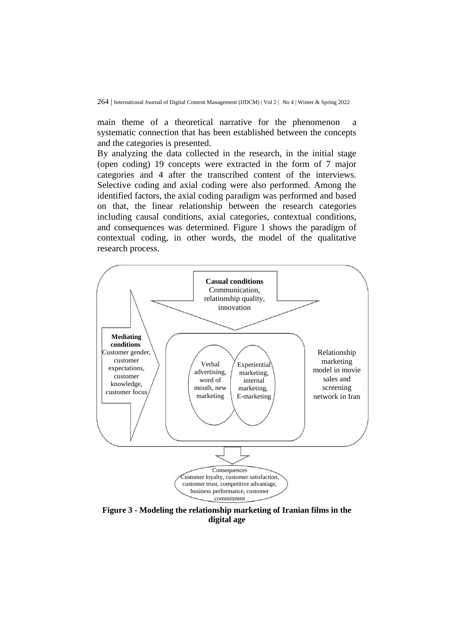main theme of a theoretical narrative for the phenomenon a systematic connection that has been established between the concepts and the categories is presented.

By analyzing the data collected in the research, in the initial stage (open coding) 19 concepts were extracted in the form of 7 major categories and 4 after the transcribed content of the interviews. Selective coding and axial coding were also performed. Among the identified factors, the axial coding paradigm was performed and based on that, the linear relationship between the research categories including causal conditions, axial categories, contextual conditions, and consequences was determined. Figure 1 shows the paradigm of contextual coding, in other words, the model of the qualitative research process.



**Figure 3 - Modeling the relationship marketing of Iranian films in the digital age**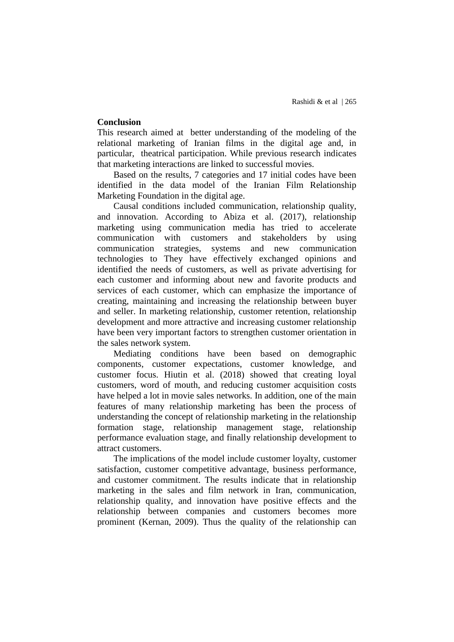## **Conclusion**

This research aimed at better understanding of the modeling of the relational marketing of Iranian films in the digital age and, in particular, theatrical participation. While previous research indicates that marketing interactions are linked to successful movies.

Based on the results, 7 categories and 17 initial codes have been identified in the data model of the Iranian Film Relationship Marketing Foundation in the digital age.

Causal conditions included communication, relationship quality, and innovation. According to Abiza et al. (2017), relationship marketing using communication media has tried to accelerate communication with customers and stakeholders by using communication strategies, systems and new communication technologies to They have effectively exchanged opinions and identified the needs of customers, as well as private advertising for each customer and informing about new and favorite products and services of each customer, which can emphasize the importance of creating, maintaining and increasing the relationship between buyer and seller. In marketing relationship, customer retention, relationship development and more attractive and increasing customer relationship have been very important factors to strengthen customer orientation in the sales network system.

Mediating conditions have been based on demographic components, customer expectations, customer knowledge, and customer focus. Hiutin et al. (2018) showed that creating loyal customers, word of mouth, and reducing customer acquisition costs have helped a lot in movie sales networks. In addition, one of the main features of many relationship marketing has been the process of understanding the concept of relationship marketing in the relationship formation stage, relationship management stage, relationship performance evaluation stage, and finally relationship development to attract customers.

The implications of the model include customer loyalty, customer satisfaction, customer competitive advantage, business performance, and customer commitment. The results indicate that in relationship marketing in the sales and film network in Iran, communication, relationship quality, and innovation have positive effects and the relationship between companies and customers becomes more prominent (Kernan, 2009). Thus the quality of the relationship can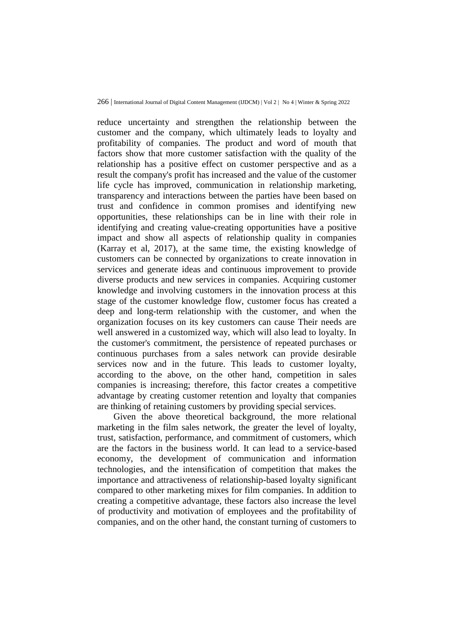reduce uncertainty and strengthen the relationship between the customer and the company, which ultimately leads to loyalty and profitability of companies. The product and word of mouth that factors show that more customer satisfaction with the quality of the relationship has a positive effect on customer perspective and as a result the company's profit has increased and the value of the customer life cycle has improved, communication in relationship marketing, transparency and interactions between the parties have been based on trust and confidence in common promises and identifying new opportunities, these relationships can be in line with their role in identifying and creating value-creating opportunities have a positive impact and show all aspects of relationship quality in companies (Karray et al, 2017), at the same time, the existing knowledge of customers can be connected by organizations to create innovation in services and generate ideas and continuous improvement to provide diverse products and new services in companies. Acquiring customer knowledge and involving customers in the innovation process at this stage of the customer knowledge flow, customer focus has created a deep and long-term relationship with the customer, and when the organization focuses on its key customers can cause Their needs are well answered in a customized way, which will also lead to loyalty. In the customer's commitment, the persistence of repeated purchases or continuous purchases from a sales network can provide desirable services now and in the future. This leads to customer loyalty, according to the above, on the other hand, competition in sales companies is increasing; therefore, this factor creates a competitive advantage by creating customer retention and loyalty that companies are thinking of retaining customers by providing special services.

Given the above theoretical background, the more relational marketing in the film sales network, the greater the level of loyalty, trust, satisfaction, performance, and commitment of customers, which are the factors in the business world. It can lead to a service-based economy, the development of communication and information technologies, and the intensification of competition that makes the importance and attractiveness of relationship-based loyalty significant compared to other marketing mixes for film companies. In addition to creating a competitive advantage, these factors also increase the level of productivity and motivation of employees and the profitability of companies, and on the other hand, the constant turning of customers to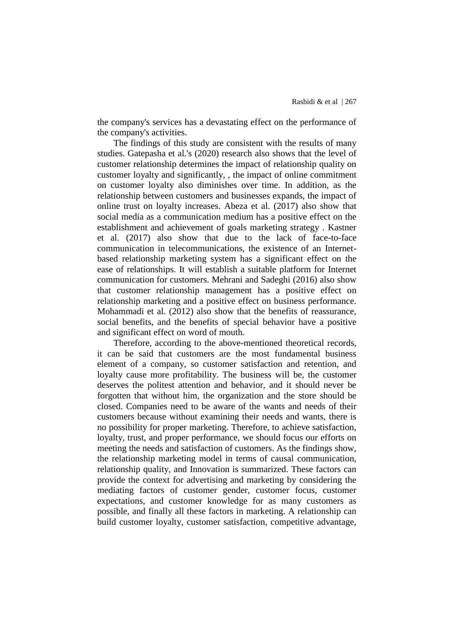the company's services has a devastating effect on the performance of the company's activities.

The findings of this study are consistent with the results of many studies. Gatepasha et al.'s (2020) research also shows that the level of customer relationship determines the impact of relationship quality on customer loyalty and significantly, , the impact of online commitment on customer loyalty also diminishes over time. In addition, as the relationship between customers and businesses expands, the impact of online trust on loyalty increases. Abeza et al. (2017) also show that social media as a communication medium has a positive effect on the establishment and achievement of goals marketing strategy . Kastner et al. (2017) also show that due to the lack of face-to-face communication in telecommunications, the existence of an Internetbased relationship marketing system has a significant effect on the ease of relationships. It will establish a suitable platform for Internet communication for customers. Mehrani and Sadeghi (2016) also show that customer relationship management has a positive effect on relationship marketing and a positive effect on business performance. Mohammadi et al. (2012) also show that the benefits of reassurance, social benefits, and the benefits of special behavior have a positive and significant effect on word of mouth.

Therefore, according to the above-mentioned theoretical records, it can be said that customers are the most fundamental business element of a company, so customer satisfaction and retention, and loyalty cause more profitability. The business will be, the customer deserves the politest attention and behavior, and it should never be forgotten that without him, the organization and the store should be closed. Companies need to be aware of the wants and needs of their customers because without examining their needs and wants, there is no possibility for proper marketing. Therefore, to achieve satisfaction, loyalty, trust, and proper performance, we should focus our efforts on meeting the needs and satisfaction of customers. As the findings show, the relationship marketing model in terms of causal communication, relationship quality, and Innovation is summarized. These factors can provide the context for advertising and marketing by considering the mediating factors of customer gender, customer focus, customer expectations, and customer knowledge for as many customers as possible, and finally all these factors in marketing. A relationship can build customer loyalty, customer satisfaction, competitive advantage,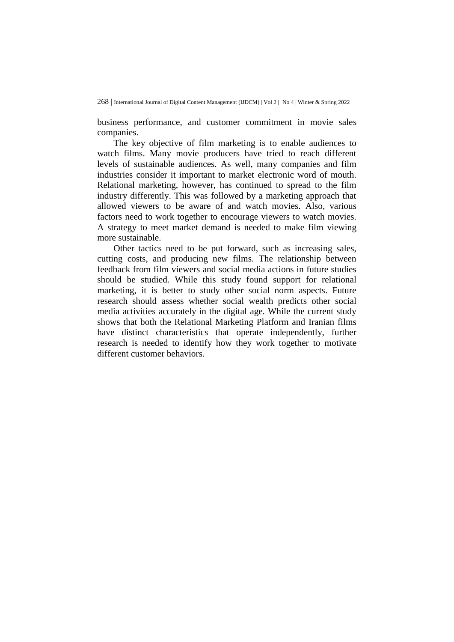business performance, and customer commitment in movie sales companies.

The key objective of film marketing is to enable audiences to watch films. Many movie producers have tried to reach different levels of sustainable audiences. As well, many companies and film industries consider it important to market electronic word of mouth. Relational marketing, however, has continued to spread to the film industry differently. This was followed by a marketing approach that allowed viewers to be aware of and watch movies. Also, various factors need to work together to encourage viewers to watch movies. A strategy to meet market demand is needed to make film viewing more sustainable.

Other tactics need to be put forward, such as increasing sales, cutting costs, and producing new films. The relationship between feedback from film viewers and social media actions in future studies should be studied. While this study found support for relational marketing, it is better to study other social norm aspects. Future research should assess whether social wealth predicts other social media activities accurately in the digital age. While the current study shows that both the Relational Marketing Platform and Iranian films have distinct characteristics that operate independently, further research is needed to identify how they work together to motivate different customer behaviors.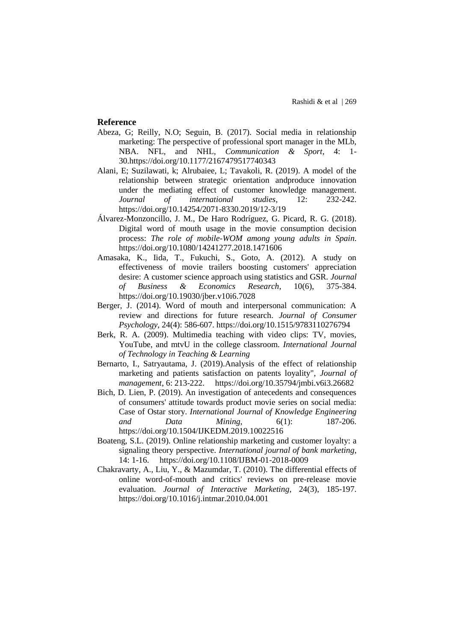#### **Reference**

- Abeza, G; Reilly, N.O; Seguin, B. (2017). Social media in relationship marketing: The perspective of professional sport manager in the MLb, NBA. NFL, and NHL, *Communication & Sport*, 4: 1- 30[.https://doi.org/10.1177/2167479517740343](https://doi.org/10.1177/2167479517740343)
- Alani, E; Suzilawati, k; Alrubaiee, L; Tavakoli, R. (2019). A model of the relationship between strategic orientation andproduce innovation under the mediating effect of customer knowledge management. *Journal of international studies*, 12: 232-242. <https://doi.org/10.14254/2071-8330.2019/12-3/19>
- Álvarez-Monzoncillo, J. M., De Haro Rodríguez, G. Picard, R. G. (2018). Digital word of mouth usage in the movie consumption decision process: *The role of mobile-WOM among young adults in Spain*. <https://doi.org/10.1080/14241277.2018.1471606>
- Amasaka, K., Iida, T., Fukuchi, S., Goto, A. (2012). A study on effectiveness of movie trailers boosting customers' appreciation desire: A customer science approach using statistics and GSR. *Journal of Business & Economics Research*, 10(6), 375-384. <https://doi.org/10.19030/jber.v10i6.7028>
- Berger, J. (2014). Word of mouth and interpersonal communication: A review and directions for future research. *Journal of Consumer Psychology*, 24(4): 586-607. <https://doi.org/10.1515/9783110276794>
- Berk, R. A. (2009). Multimedia teaching with video clips: TV, movies, YouTube, and mtvU in the college classroom. *International Journal of Technology in Teaching & Learning*
- Bernarto, I., Satryautama, J. (2019).Analysis of the effect of relationship marketing and patients satisfaction on patents loyality", *Journal of management*, 6: 213-222. <https://doi.org/10.35794/jmbi.v6i3.26682>
- Bich, D. Lien, P. (2019). An investigation of antecedents and consequences of consumers' attitude towards product movie series on social media: Case of Ostar story. *International Journal of Knowledge Engineering and Data Mining*, 6(1): 187-206. <https://doi.org/10.1504/IJKEDM.2019.10022516>
- Boateng, S.L. (2019). Online relationship marketing and customer loyalty: a signaling theory perspective. *International journal of bank marketing*, 14: 1-16. <https://doi.org/10.1108/IJBM-01-2018-0009>
- Chakravarty, A., Liu, Y., & Mazumdar, T. (2010). The differential effects of online word-of-mouth and critics' reviews on pre-release movie evaluation. *Journal of Interactive Marketing*, 24(3), 185-197. <https://doi.org/10.1016/j.intmar.2010.04.001>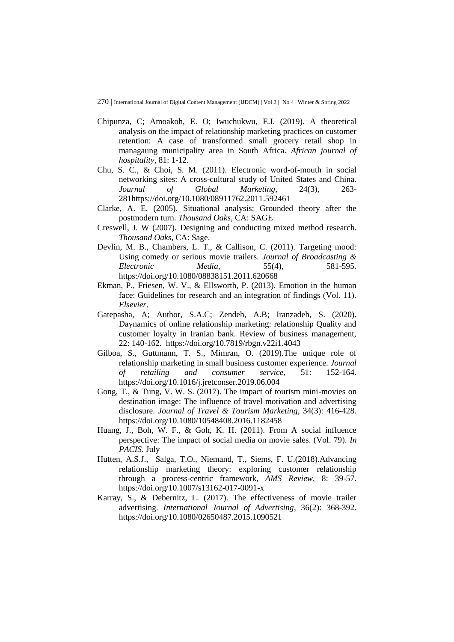- Chipunza, C; Amoakoh, E. O; Iwuchukwu, E.I. (2019). A theoretical analysis on the impact of relationship marketing practices on customer retention: A case of transformed small grocery retail shop in managaung municipality area in South Africa. *African journal of hospitality*, 81: 1-12.
- Chu, S. C., & Choi, S. M. (2011). Electronic word-of-mouth in social networking sites: A cross-cultural study of United States and China. *Journal of Global Marketing*, 24(3), 263- 28[1https://doi.org/10.1080/08911762.2011.592461](https://doi.org/10.1080/08911762.2011.592461)
- Clarke, A. E. (2005). Situational analysis: Grounded theory after the postmodern turn. *Thousand Oaks*, CA: SAGE
- Creswell, J. W (2007). Designing and conducting mixed method research. *Thousand Oaks*, CA: Sage.
- Devlin, M. B., Chambers, L. T., & Callison, C. (2011). Targeting mood: Using comedy or serious movie trailers. *Journal of Broadcasting & Electronic Media*, 55(4), 581-595. <https://doi.org/10.1080/08838151.2011.620668>
- Ekman, P., Friesen, W. V., & Ellsworth, P. (2013). Emotion in the human face: Guidelines for research and an integration of findings (Vol. 11). *Elsevier*.
- Gatepasha, A; Author, S.A.C; Zendeh, A.B; Iranzadeh, S. (2020). Daynamics of online relationship marketing: relationship Quality and customer loyalty in Iranian bank. Review of business management, 22: 140-162. <https://doi.org/10.7819/rbgn.v22i1.4043>
- Gilboa, S., Guttmann, T. S., Mimran, O. (2019).The unique role of relationship marketing in small business customer experience. *Journal of retailing and consumer service*, 51: 152-164. <https://doi.org/10.1016/j.jretconser.2019.06.004>
- Gong, T., & Tung, V. W. S. (2017). The impact of tourism mini-movies on destination image: The influence of travel motivation and advertising disclosure. *Journal of Travel & Tourism Marketing*, 34(3): 416-428. <https://doi.org/10.1080/10548408.2016.1182458>
- Huang, J., Boh, W. F., & Goh, K. H. (2011). From A social influence perspective: The impact of social media on movie sales. (Vol. 79). *In PACIS*. July
- Hutten, A.S.J., Salga, T.O., Niemand, T., Siems, F. U.(2018).Advancing relationship marketing theory: exploring customer relationship through a process-centric framework, *AMS Review*, 8: 39-57. <https://doi.org/10.1007/s13162-017-0091-x>
- Karray, S., & Debernitz, L. (2017). The effectiveness of movie trailer advertising. *International Journal of Advertising*, 36(2): 368-392. <https://doi.org/10.1080/02650487.2015.1090521>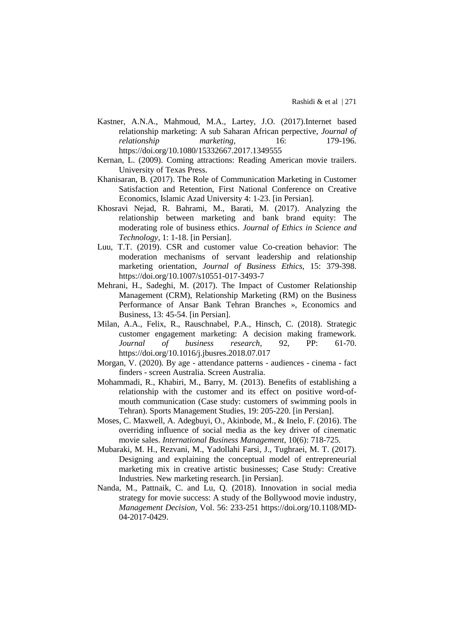- Kastner, A.N.A., Mahmoud, M.A., Lartey, J.O. (2017).Internet based relationship marketing: A sub Saharan African perpective, *Journal of relationship marketing*, 16: 179-196. <https://doi.org/10.1080/15332667.2017.1349555>
- Kernan, L. (2009). Coming attractions: Reading American movie trailers. University of Texas Press.
- Khanisaran, B. (2017). The Role of Communication Marketing in Customer Satisfaction and Retention, First National Conference on Creative Economics, Islamic Azad University 4: 1-23. [in Persian].
- Khosravi Nejad, R. Bahrami, M., Barati, M. (2017). Analyzing the relationship between marketing and bank brand equity: The moderating role of business ethics. *Journal of Ethics in Science and Technology*, 1: 1-18. [in Persian].
- Luu, T.T. (2019). CSR and customer value Co-creation behavior: The moderation mechanisms of servant leadership and relationship marketing orientation, *Journal of Business Ethics*, 15: 379-398. <https://doi.org/10.1007/s10551-017-3493-7>
- Mehrani, H., Sadeghi, M. (2017). The Impact of Customer Relationship Management (CRM), Relationship Marketing (RM) on the Business Performance of Ansar Bank Tehran Branches », Economics and Business, 13: 45-54. [in Persian].
- Milan, A.A., Felix, R., Rauschnabel, P.A., Hinsch, C. (2018). Strategic customer engagement marketing: A decision making framework. *Journal of business research*, 92, PP: 61-70. <https://doi.org/10.1016/j.jbusres.2018.07.017>
- Morgan, V. (2020). By age attendance patterns audiences cinema fact finders - screen Australia. Screen Australia.
- Mohammadi, R., Khabiri, M., Barry, M. (2013). Benefits of establishing a relationship with the customer and its effect on positive word-ofmouth communication (Case study: customers of swimming pools in Tehran). Sports Management Studies, 19: 205-220. [in Persian].
- Moses, C. Maxwell, A. Adegbuyi, O., Akinbode, M., & Inelo, F. (2016). The overriding influence of social media as the key driver of cinematic movie sales. *International Business Management*, 10(6): 718-725.
- Mubaraki, M. H., Rezvani, M., Yadollahi Farsi, J., Tughraei, M. T. (2017). Designing and explaining the conceptual model of entrepreneurial marketing mix in creative artistic businesses; Case Study: Creative Industries. New marketing research. [in Persian].
- Nanda, M., Pattnaik, C. and Lu, Q. (2018). Innovation in social media strategy for movie success: A study of the Bollywood movie industry, *Management Decision*, Vol. 56: 233-251 [https://doi.org/10.1108/MD-](https://doi.org/10.1108/MD-04-2017-0429)[04-2017-0429.](https://doi.org/10.1108/MD-04-2017-0429)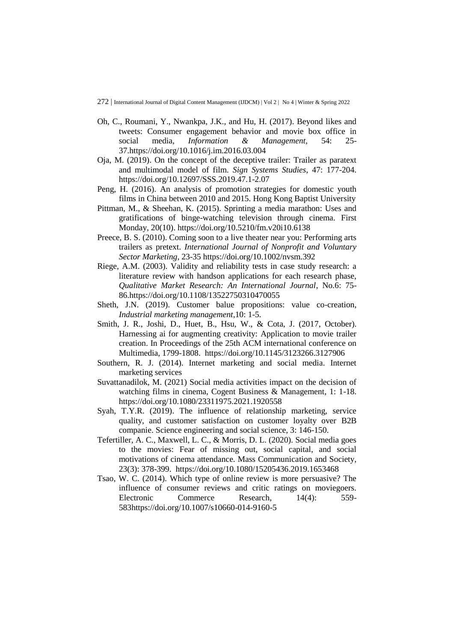- Oh, C., Roumani, Y., Nwankpa, J.K., and Hu, H. (2017). Beyond likes and tweets: Consumer engagement behavior and movie box office in social media, *Information & Management*, 54: 25- 37[.https://doi.org/10.1016/j.im.2016.03.004](https://doi.org/10.1016/j.im.2016.03.004)
- Oja, M. (2019). On the concept of the deceptive trailer: Trailer as paratext and multimodal model of film. *Sign Systems Studies*, 47: 177-204. <https://doi.org/10.12697/SSS.2019.47.1-2.07>
- Peng, H. (2016). An analysis of promotion strategies for domestic youth films in China between 2010 and 2015. Hong Kong Baptist University
- Pittman, M., & Sheehan, K. (2015). Sprinting a media marathon: Uses and gratifications of binge-watching television through cinema. First Monday, 20(10).<https://doi.org/10.5210/fm.v20i10.6138>
- Preece, B. S. (2010). Coming soon to a live theater near you: Performing arts trailers as pretext. *International Journal of Nonprofit and Voluntary Sector Marketing*, 23-35<https://doi.org/10.1002/nvsm.392>
- Riege, A.M. (2003). Validity and reliability tests in case study research: a literature review with handson applications for each research phase, *Qualitative Market Research: An International Journal*, No.6: 75- 86[.https://doi.org/10.1108/13522750310470055](https://doi.org/10.1108/13522750310470055)
- Sheth, J.N. (2019). Customer balue propositions: value co-creation, *Industrial marketing management*,10: 1-5.
- Smith, J. R., Joshi, D., Huet, B., Hsu, W., & Cota, J. (2017, October). Harnessing ai for augmenting creativity: Application to movie trailer creation. In Proceedings of the 25th ACM international conference on Multimedia, 1799-1808. <https://doi.org/10.1145/3123266.3127906>
- Southern, R. J. (2014). Internet marketing and social media. Internet marketing services
- Suvattanadilok, M. (2021) Social media activities impact on the decision of watching films in cinema, Cogent Business & Management, 1: 1-18. <https://doi.org/10.1080/23311975.2021.1920558>
- Syah, T.Y.R. (2019). The influence of relationship marketing, service quality, and customer satisfaction on customer loyalty over B2B companie. Science engineering and social science, 3: 146-150.
- Tefertiller, A. C., Maxwell, L. C., & Morris, D. L. (2020). Social media goes to the movies: Fear of missing out, social capital, and social motivations of cinema attendance. Mass Communication and Society, 23(3): 378-399. <https://doi.org/10.1080/15205436.2019.1653468>
- Tsao, W. C. (2014). Which type of online review is more persuasive? The influence of consumer reviews and critic ratings on moviegoers. Electronic Commerce Research,  $14(4)$ : 559-58[3https://doi.org/10.1007/s10660-014-9160-5](https://doi.org/10.1007/s10660-014-9160-5)